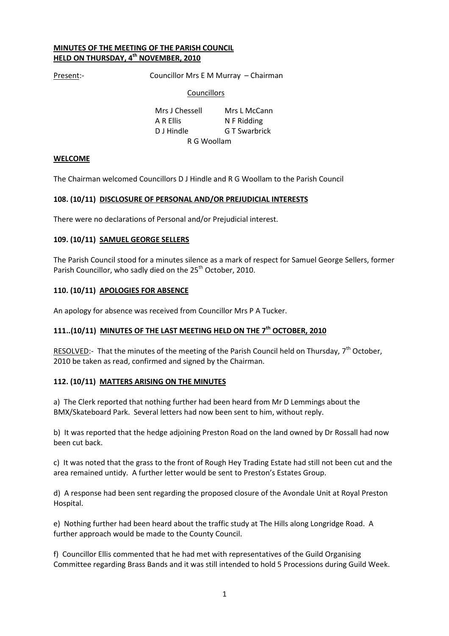#### MINUTES OF THE MEETING OF THE PARISH COUNCIL HELD ON THURSDAY, 4<sup>th</sup> NOVEMBER, 2010

Present:- Councillor Mrs E M Murray – Chairman

#### **Councillors**

 Mrs J Chessell Mrs L McCann A R Ellis N F Ridding D J Hindle **G T Swarbrick** R G Woollam

#### **WELCOME**

The Chairman welcomed Councillors D J Hindle and R G Woollam to the Parish Council

#### 108. (10/11) DISCLOSURE OF PERSONAL AND/OR PREJUDICIAL INTERESTS

There were no declarations of Personal and/or Prejudicial interest.

#### 109. (10/11) SAMUEL GEORGE SELLERS

The Parish Council stood for a minutes silence as a mark of respect for Samuel George Sellers, former Parish Councillor, who sadly died on the 25<sup>th</sup> October, 2010.

#### 110. (10/11) APOLOGIES FOR ABSENCE

An apology for absence was received from Councillor Mrs P A Tucker.

# 111..(10/11) MINUTES OF THE LAST MEETING HELD ON THE 7<sup>th</sup> OCTOBER. 2010

RESOLVED:- That the minutes of the meeting of the Parish Council held on Thursday, 7<sup>th</sup> October, 2010 be taken as read, confirmed and signed by the Chairman.

#### 112. (10/11) MATTERS ARISING ON THE MINUTES

a) The Clerk reported that nothing further had been heard from Mr D Lemmings about the BMX/Skateboard Park. Several letters had now been sent to him, without reply.

b) It was reported that the hedge adjoining Preston Road on the land owned by Dr Rossall had now been cut back.

c) It was noted that the grass to the front of Rough Hey Trading Estate had still not been cut and the area remained untidy. A further letter would be sent to Preston's Estates Group.

d) A response had been sent regarding the proposed closure of the Avondale Unit at Royal Preston Hospital.

e) Nothing further had been heard about the traffic study at The Hills along Longridge Road. A further approach would be made to the County Council.

f) Councillor Ellis commented that he had met with representatives of the Guild Organising Committee regarding Brass Bands and it was still intended to hold 5 Processions during Guild Week.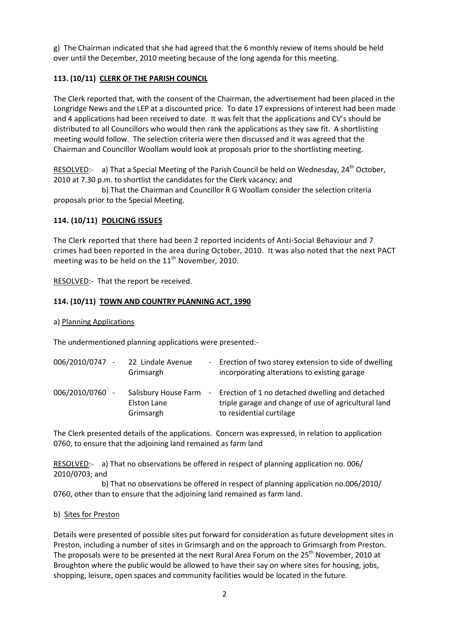g) The Chairman indicated that she had agreed that the 6 monthly review of items should be held over until the December, 2010 meeting because of the long agenda for this meeting.

# 113. (10/11) CLERK OF THE PARISH COUNCIL

The Clerk reported that, with the consent of the Chairman, the advertisement had been placed in the Longridge News and the LEP at a discounted price. To date 17 expressions of interest had been made and 4 applications had been received to date. It was felt that the applications and CV's should be distributed to all Councillors who would then rank the applications as they saw fit. A shortlisting meeting would follow. The selection criteria were then discussed and it was agreed that the Chairman and Councillor Woollam would look at proposals prior to the shortlisting meeting.

RESOLVED:- a) That a Special Meeting of the Parish Council be held on Wednesday, 24<sup>th</sup> October, 2010 at 7.30 p.m. to shortlist the candidates for the Clerk vacancy; and

 b) That the Chairman and Councillor R G Woollam consider the selection criteria proposals prior to the Special Meeting.

# 114. (10/11) POLICING ISSUES

The Clerk reported that there had been 2 reported incidents of Anti-Social Behaviour and 7 crimes had been reported in the area during October, 2010. It was also noted that the next PACT meeting was to be held on the  $11<sup>th</sup>$  November, 2010.

RESOLVED:- That the report be received.

# 114. (10/11) TOWN AND COUNTRY PLANNING ACT, 1990

### a) Planning Applications

The undermentioned planning applications were presented:-

| 006/2010/0747 - | 22 Lindale Avenue<br>Grimsargh                   | - Erection of two storey extension to side of dwelling<br>incorporating alterations to existing garage                                |
|-----------------|--------------------------------------------------|---------------------------------------------------------------------------------------------------------------------------------------|
| 006/2010/0760   | Salisbury House Farm<br>Elston Lane<br>Grimsargh | - Erection of 1 no detached dwelling and detached<br>triple garage and change of use of agricultural land<br>to residential curtilage |

The Clerk presented details of the applications. Concern was expressed, in relation to application 0760, to ensure that the adjoining land remained as farm land

RESOLVED:- a) That no observations be offered in respect of planning application no. 006/ 2010/0703; and

 b) That no observations be offered in respect of planning application no.006/2010/ 0760, other than to ensure that the adjoining land remained as farm land.

#### b) Sites for Preston

Details were presented of possible sites put forward for consideration as future development sites in Preston, including a number of sites in Grimsargh and on the approach to Grimsargh from Preston. The proposals were to be presented at the next Rural Area Forum on the 25<sup>th</sup> November, 2010 at Broughton where the public would be allowed to have their say on where sites for housing, jobs, shopping, leisure, open spaces and community facilities would be located in the future.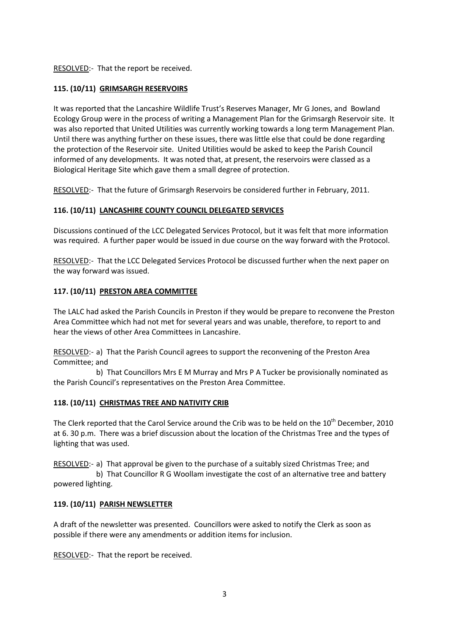# RESOLVED:- That the report be received.

# 115. (10/11) GRIMSARGH RESERVOIRS

It was reported that the Lancashire Wildlife Trust's Reserves Manager, Mr G Jones, and Bowland Ecology Group were in the process of writing a Management Plan for the Grimsargh Reservoir site. It was also reported that United Utilities was currently working towards a long term Management Plan. Until there was anything further on these issues, there was little else that could be done regarding the protection of the Reservoir site. United Utilities would be asked to keep the Parish Council informed of any developments. It was noted that, at present, the reservoirs were classed as a Biological Heritage Site which gave them a small degree of protection.

RESOLVED:- That the future of Grimsargh Reservoirs be considered further in February, 2011.

## 116. (10/11) LANCASHIRE COUNTY COUNCIL DELEGATED SERVICES

Discussions continued of the LCC Delegated Services Protocol, but it was felt that more information was required. A further paper would be issued in due course on the way forward with the Protocol.

RESOLVED:- That the LCC Delegated Services Protocol be discussed further when the next paper on the way forward was issued.

## 117. (10/11) PRESTON AREA COMMITTEE

The LALC had asked the Parish Councils in Preston if they would be prepare to reconvene the Preston Area Committee which had not met for several years and was unable, therefore, to report to and hear the views of other Area Committees in Lancashire.

RESOLVED:- a) That the Parish Council agrees to support the reconvening of the Preston Area Committee; and

 b) That Councillors Mrs E M Murray and Mrs P A Tucker be provisionally nominated as the Parish Council's representatives on the Preston Area Committee.

#### 118. (10/11) CHRISTMAS TREE AND NATIVITY CRIB

The Clerk reported that the Carol Service around the Crib was to be held on the 10<sup>th</sup> December, 2010 at 6. 30 p.m. There was a brief discussion about the location of the Christmas Tree and the types of lighting that was used.

RESOLVED:- a) That approval be given to the purchase of a suitably sized Christmas Tree; and b) That Councillor R G Woollam investigate the cost of an alternative tree and battery powered lighting.

#### 119. (10/11) PARISH NEWSLETTER

A draft of the newsletter was presented. Councillors were asked to notify the Clerk as soon as possible if there were any amendments or addition items for inclusion.

RESOLVED:- That the report be received.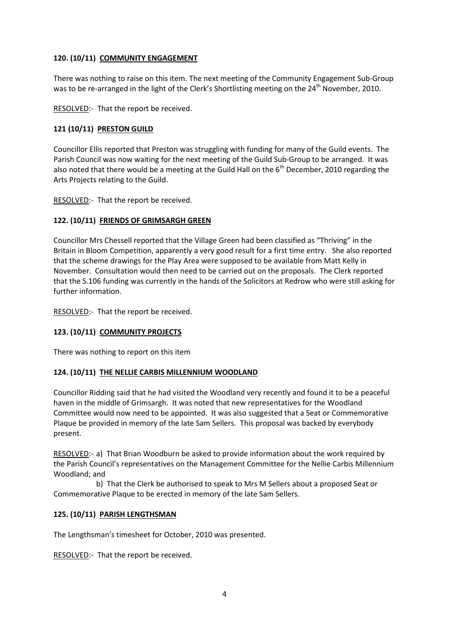# 120. (10/11) COMMUNITY ENGAGEMENT

There was nothing to raise on this item. The next meeting of the Community Engagement Sub-Group was to be re-arranged in the light of the Clerk's Shortlisting meeting on the 24<sup>th</sup> November, 2010.

RESOLVED:- That the report be received.

# 121 (10/11) PRESTON GUILD

Councillor Ellis reported that Preston was struggling with funding for many of the Guild events. The Parish Council was now waiting for the next meeting of the Guild Sub-Group to be arranged. It was also noted that there would be a meeting at the Guild Hall on the  $6<sup>th</sup>$  December, 2010 regarding the Arts Projects relating to the Guild.

RESOLVED:- That the report be received.

## 122. (10/11) FRIENDS OF GRIMSARGH GREEN

Councillor Mrs Chessell reported that the Village Green had been classified as "Thriving" in the Britain in Bloom Competition, apparently a very good result for a first time entry. She also reported that the scheme drawings for the Play Area were supposed to be available from Matt Kelly in November. Consultation would then need to be carried out on the proposals. The Clerk reported that the S.106 funding was currently in the hands of the Solicitors at Redrow who were still asking for further information.

RESOLVED:- That the report be received.

# 123. (10/11) COMMUNITY PROJECTS

There was nothing to report on this item

#### 124. (10/11) THE NELLIE CARBIS MILLENNIUM WOODLAND

Councillor Ridding said that he had visited the Woodland very recently and found it to be a peaceful haven in the middle of Grimsargh. It was noted that new representatives for the Woodland Committee would now need to be appointed. It was also suggested that a Seat or Commemorative Plaque be provided in memory of the late Sam Sellers. This proposal was backed by everybody present.

RESOLVED:- a) That Brian Woodburn be asked to provide information about the work required by the Parish Council's representatives on the Management Committee for the Nellie Carbis Millennium Woodland; and

 b) That the Clerk be authorised to speak to Mrs M Sellers about a proposed Seat or Commemorative Plaque to be erected in memory of the late Sam Sellers.

# 125. (10/11) PARISH LENGTHSMAN

The Lengthsman's timesheet for October, 2010 was presented.

RESOLVED:- That the report be received.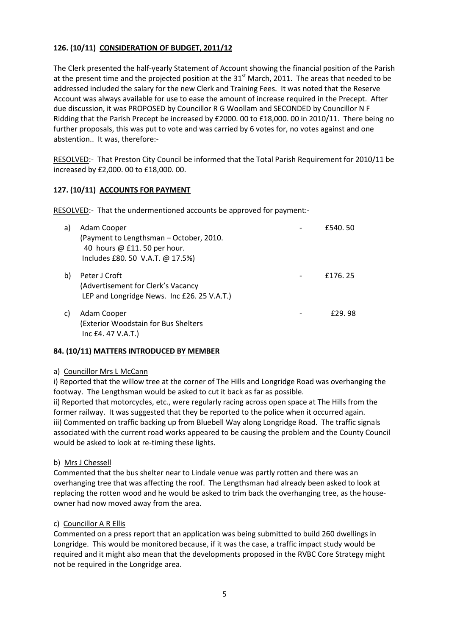# 126. (10/11) CONSIDERATION OF BUDGET, 2011/12

The Clerk presented the half-yearly Statement of Account showing the financial position of the Parish at the present time and the projected position at the  $31<sup>st</sup>$  March, 2011. The areas that needed to be addressed included the salary for the new Clerk and Training Fees. It was noted that the Reserve Account was always available for use to ease the amount of increase required in the Precept. After due discussion, it was PROPOSED by Councillor R G Woollam and SECONDED by Councillor N F Ridding that the Parish Precept be increased by £2000. 00 to £18,000. 00 in 2010/11. There being no further proposals, this was put to vote and was carried by 6 votes for, no votes against and one abstention.. It was, therefore:-

RESOLVED:- That Preston City Council be informed that the Total Parish Requirement for 2010/11 be increased by £2,000. 00 to £18,000. 00.

# 127. (10/11) ACCOUNTS FOR PAYMENT

RESOLVED:- That the undermentioned accounts be approved for payment:-

| a) | Adam Cooper<br>(Payment to Lengthsman - October, 2010.<br>40 hours @ £11.50 per hour.<br>Includes £80. 50 V.A.T. @ 17.5%) | £540.50 |
|----|---------------------------------------------------------------------------------------------------------------------------|---------|
| b) | Peter J Croft<br>(Advertisement for Clerk's Vacancy<br>LEP and Longridge News. Inc £26.25 V.A.T.)                         | £176.25 |
| C) | Adam Cooper<br>(Exterior Woodstain for Bus Shelters<br>Inc E4.47 V.A.T.)                                                  | £29.98  |

# 84. (10/11) MATTERS INTRODUCED BY MEMBER

#### a) Councillor Mrs L McCann

i) Reported that the willow tree at the corner of The Hills and Longridge Road was overhanging the footway. The Lengthsman would be asked to cut it back as far as possible.

ii) Reported that motorcycles, etc., were regularly racing across open space at The Hills from the former railway. It was suggested that they be reported to the police when it occurred again. iii) Commented on traffic backing up from Bluebell Way along Longridge Road. The traffic signals associated with the current road works appeared to be causing the problem and the County Council would be asked to look at re-timing these lights.

# b) Mrs J Chessell

Commented that the bus shelter near to Lindale venue was partly rotten and there was an overhanging tree that was affecting the roof. The Lengthsman had already been asked to look at replacing the rotten wood and he would be asked to trim back the overhanging tree, as the houseowner had now moved away from the area.

#### c) Councillor A R Ellis

Commented on a press report that an application was being submitted to build 260 dwellings in Longridge. This would be monitored because, if it was the case, a traffic impact study would be required and it might also mean that the developments proposed in the RVBC Core Strategy might not be required in the Longridge area.